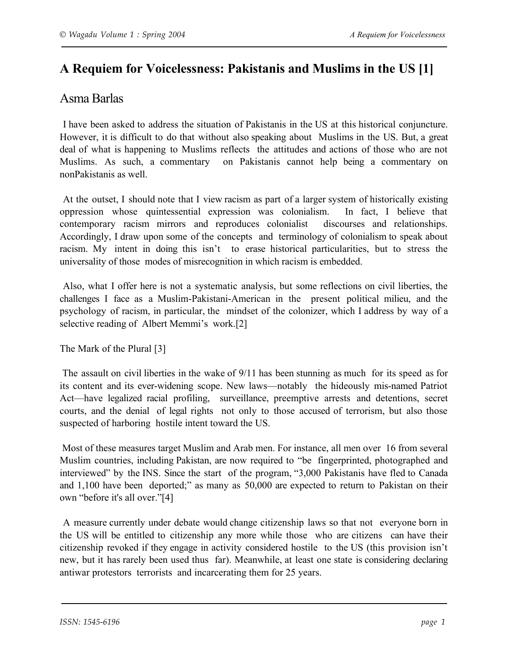## **A Requiem for Voicelessness: Pakistanis and Muslims in the US [1]**

## Asma Barlas

I have been asked to address the situation of Pakistanis in the US at this historical conjuncture. However, it is difficult to do that without also speaking about Muslims in the US. But, a great deal of what is happening to Muslims reflects the attitudes and actions of those who are not Muslims. As such, a commentary on Pakistanis cannot help being a commentary on nonPakistanis as well.

At the outset, I should note that I view racism as part of a larger system of historically existing oppression whose quintessential expression was colonialism. In fact, I believe that contemporary racism mirrors and reproduces colonialist discourses and relationships. Accordingly, I draw upon some of the concepts and terminology of colonialism to speak about racism. My intent in doing this isn't to erase historical particularities, but to stress the universality of those modes of misrecognition in which racism is embedded.

Also, what I offer here is not a systematic analysis, but some reflections on civil liberties, the challenges I face as a Muslim-Pakistani-American in the present political milieu, and the psychology of racism, in particular, the mindset of the colonizer, which I address by way of a selective reading of Albert Memmi's work.[2]

The Mark of the Plural [3]

The assault on civil liberties in the wake of 9/11 has been stunning as much for its speed as for its content and its ever-widening scope. New laws—notably the hideously mis-named Patriot Act—have legalized racial profiling, surveillance, preemptive arrests and detentions, secret courts, and the denial of legal rights not only to those accused of terrorism, but also those suspected of harboring hostile intent toward the US.

 Most of these measures target Muslim and Arab men. For instance, all men over 16 from several Muslim countries, including Pakistan, are now required to "be fingerprinted, photographed and interviewed" by the INS. Since the start of the program, "3,000 Pakistanis have fled to Canada and 1,100 have been deported;" as many as 50,000 are expected to return to Pakistan on their own "before it's all over."[4]

A measure currently under debate would change citizenship laws so that not everyone born in the US will be entitled to citizenship any more while those who are citizens can have their citizenship revoked if they engage in activity considered hostile to the US (this provision isn't new, but it has rarely been used thus far). Meanwhile, at least one state is considering declaring antiwar protestors terrorists and incarcerating them for 25 years.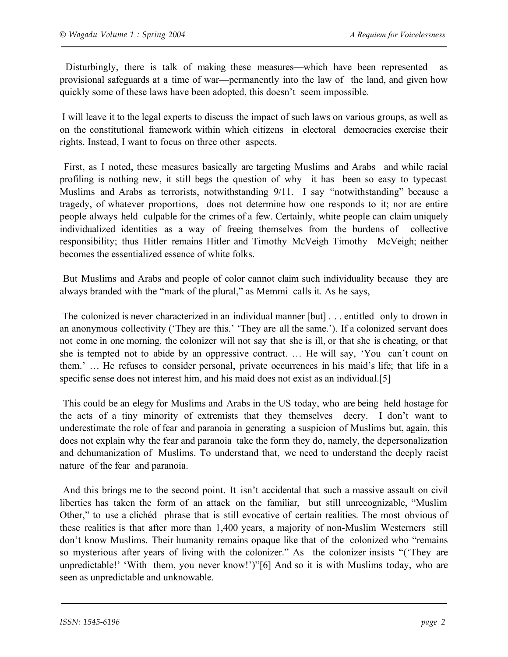Disturbingly, there is talk of making these measures—which have been represented as provisional safeguards at a time of war—permanently into the law of the land, and given how quickly some of these laws have been adopted, this doesn't seem impossible.

 I will leave it to the legal experts to discuss the impact of such laws on various groups, as well as on the constitutional framework within which citizens in electoral democracies exercise their rights. Instead, I want to focus on three other aspects.

First, as I noted, these measures basically are targeting Muslims and Arabs and while racial profiling is nothing new, it still begs the question of why it has been so easy to typecast Muslims and Arabs as terrorists, notwithstanding 9/11. I say "notwithstanding" because a tragedy, of whatever proportions, does not determine how one responds to it; nor are entire people always held culpable for the crimes of a few. Certainly, white people can claim uniquely individualized identities as a way of freeing themselves from the burdens of collective responsibility; thus Hitler remains Hitler and Timothy McVeigh Timothy McVeigh; neither becomes the essentialized essence of white folks.

But Muslims and Arabs and people of color cannot claim such individuality because they are always branded with the "mark of the plural," as Memmi calls it. As he says,

The colonized is never characterized in an individual manner [but] . . . entitled only to drown in an anonymous collectivity ('They are this.' 'They are all the same.'). If a colonized servant does not come in one morning, the colonizer will not say that she is ill, or that she is cheating, or that she is tempted not to abide by an oppressive contract. … He will say, 'You can't count on them.' … He refuses to consider personal, private occurrences in his maid's life; that life in a specific sense does not interest him, and his maid does not exist as an individual.[5]

This could be an elegy for Muslims and Arabs in the US today, who are being held hostage for the acts of a tiny minority of extremists that they themselves decry. I don't want to underestimate the role of fear and paranoia in generating a suspicion of Muslims but, again, this does not explain why the fear and paranoia take the form they do, namely, the depersonalization and dehumanization of Muslims. To understand that, we need to understand the deeply racist nature of the fear and paranoia.

And this brings me to the second point. It isn't accidental that such a massive assault on civil liberties has taken the form of an attack on the familiar, but still unrecognizable, "Muslim Other," to use a clichéd phrase that is still evocative of certain realities. The most obvious of these realities is that after more than 1,400 years, a majority of non-Muslim Westerners still don't know Muslims. Their humanity remains opaque like that of the colonized who "remains so mysterious after years of living with the colonizer." As the colonizer insists "('They are unpredictable!' 'With them, you never know!')"[6] And so it is with Muslims today, who are seen as unpredictable and unknowable.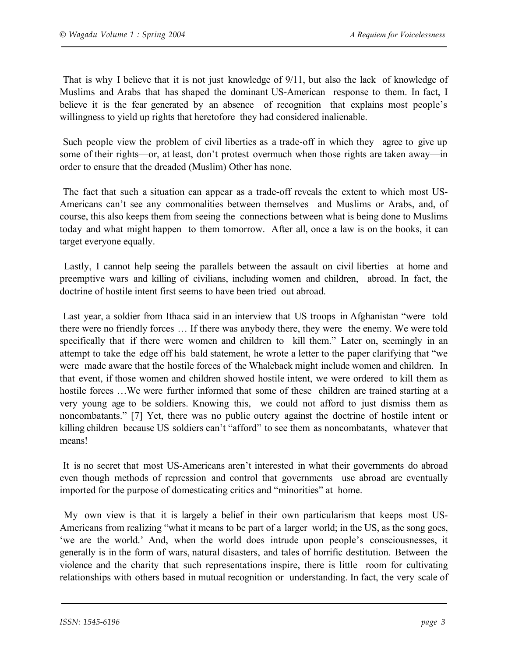That is why I believe that it is not just knowledge of 9/11, but also the lack of knowledge of Muslims and Arabs that has shaped the dominant US-American response to them. In fact, I believe it is the fear generated by an absence of recognition that explains most people's willingness to yield up rights that heretofore they had considered inalienable.

Such people view the problem of civil liberties as a trade-off in which they agree to give up some of their rights—or, at least, don't protest overmuch when those rights are taken away—in order to ensure that the dreaded (Muslim) Other has none.

The fact that such a situation can appear as a trade-off reveals the extent to which most US-Americans can't see any commonalities between themselves and Muslims or Arabs, and, of course, this also keeps them from seeing the connections between what is being done to Muslims today and what might happen to them tomorrow. After all, once a law is on the books, it can target everyone equally.

Lastly, I cannot help seeing the parallels between the assault on civil liberties at home and preemptive wars and killing of civilians, including women and children, abroad. In fact, the doctrine of hostile intent first seems to have been tried out abroad.

Last year, a soldier from Ithaca said in an interview that US troops in Afghanistan "were told there were no friendly forces … If there was anybody there, they were the enemy. We were told specifically that if there were women and children to kill them." Later on, seemingly in an attempt to take the edge off his bald statement, he wrote a letter to the paper clarifying that "we were made aware that the hostile forces of the Whaleback might include women and children. In that event, if those women and children showed hostile intent, we were ordered to kill them as hostile forces ...We were further informed that some of these children are trained starting at a very young age to be soldiers. Knowing this, we could not afford to just dismiss them as noncombatants." [7] Yet, there was no public outcry against the doctrine of hostile intent or killing children because US soldiers can't "afford" to see them as noncombatants, whatever that means!

It is no secret that most US-Americans aren't interested in what their governments do abroad even though methods of repression and control that governments use abroad are eventually imported for the purpose of domesticating critics and "minorities" at home.

My own view is that it is largely a belief in their own particularism that keeps most US-Americans from realizing "what it means to be part of a larger world; in the US, as the song goes, 'we are the world.' And, when the world does intrude upon people's consciousnesses, it generally is in the form of wars, natural disasters, and tales of horrific destitution. Between the violence and the charity that such representations inspire, there is little room for cultivating relationships with others based in mutual recognition or understanding. In fact, the very scale of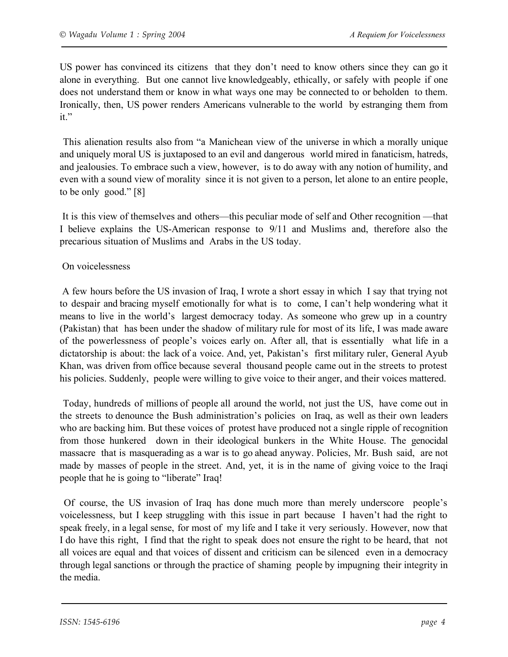US power has convinced its citizens that they don't need to know others since they can go it alone in everything. But one cannot live knowledgeably, ethically, or safely with people if one does not understand them or know in what ways one may be connected to or beholden to them. Ironically, then, US power renders Americans vulnerable to the world by estranging them from it."

This alienation results also from "a Manichean view of the universe in which a morally unique and uniquely moral US is juxtaposed to an evil and dangerous world mired in fanaticism, hatreds, and jealousies. To embrace such a view, however, is to do away with any notion of humility, and even with a sound view of morality since it is not given to a person, let alone to an entire people, to be only good." [8]

It is this view of themselves and others—this peculiar mode of self and Other recognition —that I believe explains the US-American response to 9/11 and Muslims and, therefore also the precarious situation of Muslims and Arabs in the US today.

## On voicelessness

A few hours before the US invasion of Iraq, I wrote a short essay in which I say that trying not to despair and bracing myself emotionally for what is to come, I can't help wondering what it means to live in the world's largest democracy today. As someone who grew up in a country (Pakistan) that has been under the shadow of military rule for most of its life, I was made aware of the powerlessness of people's voices early on. After all, that is essentially what life in a dictatorship is about: the lack of a voice. And, yet, Pakistan's first military ruler, General Ayub Khan, was driven from office because several thousand people came out in the streets to protest his policies. Suddenly, people were willing to give voice to their anger, and their voices mattered.

Today, hundreds of millions of people all around the world, not just the US, have come out in the streets to denounce the Bush administration's policies on Iraq, as well as their own leaders who are backing him. But these voices of protest have produced not a single ripple of recognition from those hunkered down in their ideological bunkers in the White House. The genocidal massacre that is masquerading as a war is to go ahead anyway. Policies, Mr. Bush said, are not made by masses of people in the street. And, yet, it is in the name of giving voice to the Iraqi people that he is going to "liberate" Iraq!

Of course, the US invasion of Iraq has done much more than merely underscore people's voicelessness, but I keep struggling with this issue in part because I haven't had the right to speak freely, in a legal sense, for most of my life and I take it very seriously. However, now that I do have this right, I find that the right to speak does not ensure the right to be heard, that not all voices are equal and that voices of dissent and criticism can be silenced even in a democracy through legal sanctions or through the practice of shaming people by impugning their integrity in the media.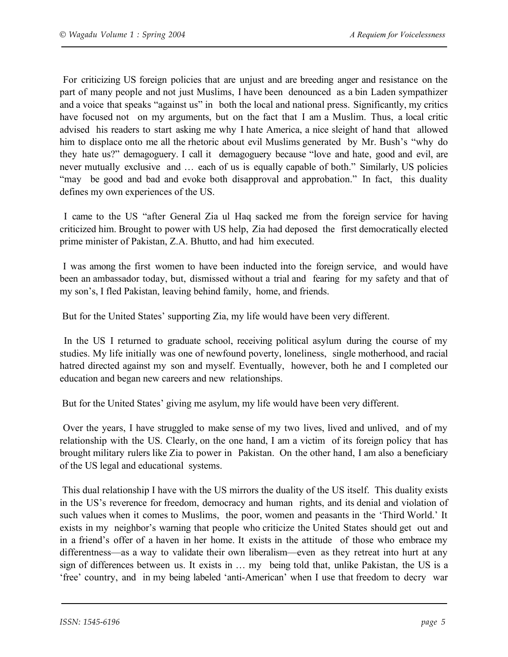For criticizing US foreign policies that are unjust and are breeding anger and resistance on the part of many people and not just Muslims, I have been denounced as a bin Laden sympathizer and a voice that speaks "against us" in both the local and national press. Significantly, my critics have focused not on my arguments, but on the fact that I am a Muslim. Thus, a local critic advised his readers to start asking me why I hate America, a nice sleight of hand that allowed him to displace onto me all the rhetoric about evil Muslims generated by Mr. Bush's "why do they hate us?" demagoguery. I call it demagoguery because "love and hate, good and evil, are never mutually exclusive and … each of us is equally capable of both." Similarly, US policies "may be good and bad and evoke both disapproval and approbation." In fact, this duality defines my own experiences of the US.

I came to the US "after General Zia ul Haq sacked me from the foreign service for having criticized him. Brought to power with US help, Zia had deposed the first democratically elected prime minister of Pakistan, Z.A. Bhutto, and had him executed.

I was among the first women to have been inducted into the foreign service, and would have been an ambassador today, but, dismissed without a trial and fearing for my safety and that of my son's, I fled Pakistan, leaving behind family, home, and friends.

But for the United States' supporting Zia, my life would have been very different.

In the US I returned to graduate school, receiving political asylum during the course of my studies. My life initially was one of newfound poverty, loneliness, single motherhood, and racial hatred directed against my son and myself. Eventually, however, both he and I completed our education and began new careers and new relationships.

But for the United States' giving me asylum, my life would have been very different.

Over the years, I have struggled to make sense of my two lives, lived and unlived, and of my relationship with the US. Clearly, on the one hand, I am a victim of its foreign policy that has brought military rulers like Zia to power in Pakistan. On the other hand, I am also a beneficiary of the US legal and educational systems.

This dual relationship I have with the US mirrors the duality of the US itself. This duality exists in the US's reverence for freedom, democracy and human rights, and its denial and violation of such values when it comes to Muslims, the poor, women and peasants in the 'Third World.' It exists in my neighbor's warning that people who criticize the United States should get out and in a friend's offer of a haven in her home. It exists in the attitude of those who embrace my differentness—as a way to validate their own liberalism—even as they retreat into hurt at any sign of differences between us. It exists in … my being told that, unlike Pakistan, the US is a 'free' country, and in my being labeled 'anti-American' when I use that freedom to decry war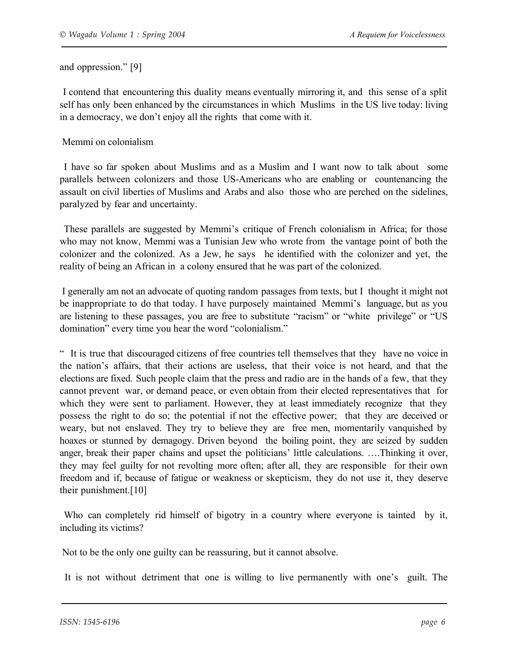and oppression." [9]

I contend that encountering this duality means eventually mirroring it, and this sense of a split self has only been enhanced by the circumstances in which Muslims in the US live today: living in a democracy, we don't enjoy all the rights that come with it.

## Memmi on colonialism

I have so far spoken about Muslims and as a Muslim and I want now to talk about some parallels between colonizers and those US-Americans who are enabling or countenancing the assault on civil liberties of Muslims and Arabs and also those who are perched on the sidelines, paralyzed by fear and uncertainty.

These parallels are suggested by Memmi's critique of French colonialism in Africa; for those who may not know, Memmi was a Tunisian Jew who wrote from the vantage point of both the colonizer and the colonized. As a Jew, he says he identified with the colonizer and yet, the reality of being an African in a colony ensured that he was part of the colonized.

 I generally am not an advocate of quoting random passages from texts, but I thought it might not be inappropriate to do that today. I have purposely maintained Memmi's language, but as you are listening to these passages, you are free to substitute "racism" or "white privilege" or "US domination" every time you hear the word "colonialism."

" It is true that discouraged citizens of free countries tell themselves that they have no voice in the nation's affairs, that their actions are useless, that their voice is not heard, and that the elections are fixed. Such people claim that the press and radio are in the hands of a few, that they cannot prevent war, or demand peace, or even obtain from their elected representatives that for which they were sent to parliament. However, they at least immediately recognize that they possess the right to do so; the potential if not the effective power; that they are deceived or weary, but not enslaved. They try to believe they are free men, momentarily vanquished by hoaxes or stunned by demagogy. Driven beyond the boiling point, they are seized by sudden anger, break their paper chains and upset the politicians' little calculations. ….Thinking it over, they may feel guilty for not revolting more often; after all, they are responsible for their own freedom and if, because of fatigue or weakness or skepticism, they do not use it, they deserve their punishment.[10]

Who can completely rid himself of bigotry in a country where everyone is tainted by it, including its victims?

Not to be the only one guilty can be reassuring, but it cannot absolve.

It is not without detriment that one is willing to live permanently with one's guilt. The